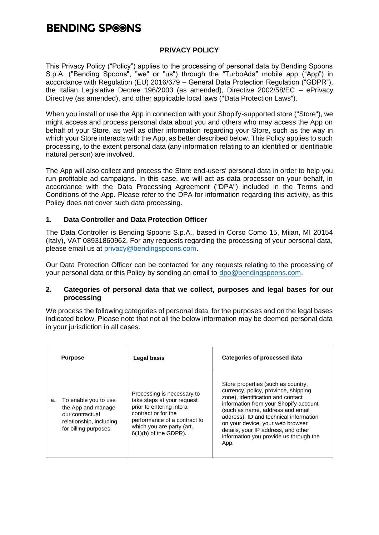#### **PRIVACY POLICY**

This Privacy Policy ("Policy") applies to the processing of personal data by Bending Spoons S.p.A. ("Bending Spoons", "we" or "us") through the "TurboAds" mobile app ("App") in accordance with Regulation (EU) 2016/679 – General Data Protection Regulation ("GDPR"), the Italian Legislative Decree 196/2003 (as amended), Directive 2002/58/EC – ePrivacy Directive (as amended), and other applicable local laws ("Data Protection Laws").

When you install or use the App in connection with your Shopify-supported store ("Store"), we might access and process personal data about you and others who may access the App on behalf of your Store, as well as other information regarding your Store, such as the way in which your Store interacts with the App, as better described below. This Policy applies to such processing, to the extent personal data (any information relating to an identified or identifiable natural person) are involved.

The App will also collect and process the Store end-users' personal data in order to help you run profitable ad campaigns. In this case, we will act as data processor on your behalf, in accordance with the Data Processing Agreement ("DPA") included in the Terms and Conditions of the App. Please refer to the DPA for information regarding this activity, as this Policy does not cover such data processing.

#### **1. Data Controller and Data Protection Officer**

The Data Controller is Bending Spoons S.p.A., based in Corso Como 15, Milan, MI 20154 (Italy), VAT 08931860962. For any requests regarding the processing of your personal data, please email us at [privacy@bendingspoons.com.](mailto:privacy@bendingspoons.com)

Our Data Protection Officer can be contacted for any requests relating to the processing of your personal data or this Policy by sending an email to [dpo@bendingspoons.com.](mailto:dpo@bendingspoons.com)

#### **2. Categories of personal data that we collect, purposes and legal bases for our processing**

We process the following categories of personal data, for the purposes and on the legal bases indicated below. Please note that not all the below information may be deemed personal data in your jurisdiction in all cases.

| <b>Purpose</b>                                                                                                          | Legal basis                                                                                                                                                                                         | Categories of processed data                                                                                                                                                                                                                                                                                                                                        |
|-------------------------------------------------------------------------------------------------------------------------|-----------------------------------------------------------------------------------------------------------------------------------------------------------------------------------------------------|---------------------------------------------------------------------------------------------------------------------------------------------------------------------------------------------------------------------------------------------------------------------------------------------------------------------------------------------------------------------|
| To enable you to use<br>a.<br>the App and manage<br>our contractual<br>relationship, including<br>for billing purposes. | Processing is necessary to<br>take steps at your request<br>prior to entering into a<br>contract or for the<br>performance of a contract to<br>which you are party (art.<br>$6(1)(b)$ of the GDPR). | Store properties (such as country,<br>currency, policy, province, shipping<br>zone), identification and contact<br>information from your Shopify account<br>(such as name, address and email<br>address), ID and technical information<br>on your device, your web browser<br>details, your IP address, and other<br>information you provide us through the<br>App. |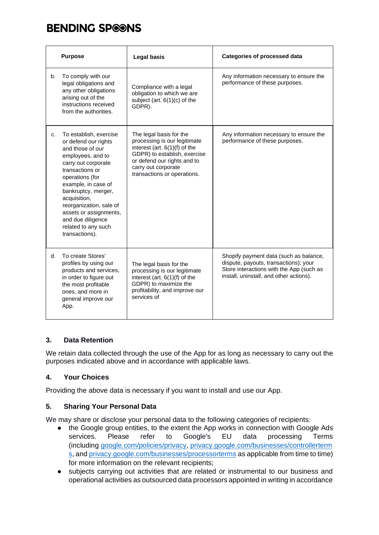|    | <b>Purpose</b>                                                                                                                                                                                                                                                                                                                        | <b>Legal basis</b>                                                                                                                                                                                              | <b>Categories of processed data</b>                                                                                                                                    |
|----|---------------------------------------------------------------------------------------------------------------------------------------------------------------------------------------------------------------------------------------------------------------------------------------------------------------------------------------|-----------------------------------------------------------------------------------------------------------------------------------------------------------------------------------------------------------------|------------------------------------------------------------------------------------------------------------------------------------------------------------------------|
| b. | To comply with our<br>legal obligations and<br>any other obligations<br>arising out of the<br>instructions received<br>from the authorities.                                                                                                                                                                                          | Compliance with a legal<br>obligation to which we are<br>subject (art. $6(1)(c)$ of the<br>GDPR).                                                                                                               | Any information necessary to ensure the<br>performance of these purposes.                                                                                              |
| C. | To establish, exercise<br>or defend our rights<br>and those of our<br>employees, and to<br>carry out corporate<br>transactions or<br>operations (for<br>example, in case of<br>bankruptcy, merger,<br>acquisition,<br>reorganization, sale of<br>assets or assignments,<br>and due diligence<br>related to any such<br>transactions). | The legal basis for the<br>processing is our legitimate<br>interest (art. $6(1)(f)$ of the<br>GDPR) to establish, exercise<br>or defend our rights and to<br>carry out corporate<br>transactions or operations. | Any information necessary to ensure the<br>performance of these purposes.                                                                                              |
| d. | To create Stores'<br>profiles by using our<br>products and services,<br>in order to figure out<br>the most profitable<br>ones, and more in<br>general improve our<br>App.                                                                                                                                                             | The legal basis for the<br>processing is our legitimate<br>interest (art. $6(1)(f)$ of the<br>GDPR) to maximize the<br>profitability, and improve our<br>services of                                            | Shopify payment data (such as balance,<br>dispute, payouts, transactions); your<br>Store interactions with the App (such as<br>install, uninstall, and other actions). |

### **3. Data Retention**

We retain data collected through the use of the App for as long as necessary to carry out the purposes indicated above and in accordance with applicable laws.

### **4. Your Choices**

Providing the above data is necessary if you want to install and use our App.

### **5. Sharing Your Personal Data**

We may share or disclose your personal data to the following categories of recipients:

- the Google group entities, to the extent the App works in connection with Google Ads services. Please refer to Google's EU data processing Terms (including [google.com/policies/privacy,](https://www.google.com/intl/en_us/policies/privacy/) [privacy.google.com/businesses/controllerterm](https://privacy.google.com/businesses/controllerterms/) [s,](https://privacy.google.com/businesses/controllerterms/) an[d privacy.google.com/businesses/processorterms](https://privacy.google.com/businesses/processorterms/) as applicable from time to time) for more information on the relevant recipients;
- subjects carrying out activities that are related or instrumental to our business and operational activities as outsourced data processors appointed in writing in accordance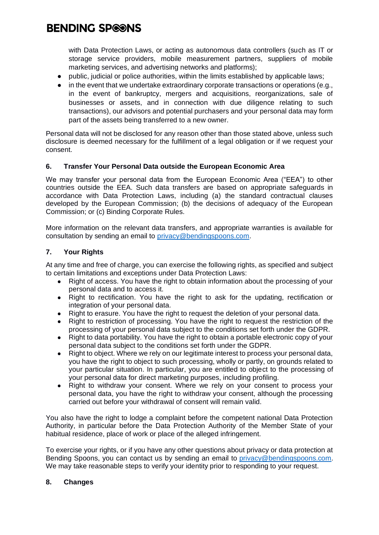with Data Protection Laws, or acting as autonomous data controllers (such as IT or storage service providers, mobile measurement partners, suppliers of mobile marketing services, and advertising networks and platforms);

- public, judicial or police authorities, within the limits established by applicable laws;
- in the event that we undertake extraordinary corporate transactions or operations  $(e.g.,)$ in the event of bankruptcy, mergers and acquisitions, reorganizations, sale of businesses or assets, and in connection with due diligence relating to such transactions), our advisors and potential purchasers and your personal data may form part of the assets being transferred to a new owner.

Personal data will not be disclosed for any reason other than those stated above, unless such disclosure is deemed necessary for the fulfillment of a legal obligation or if we request your consent.

#### **6. Transfer Your Personal Data outside the European Economic Area**

We may transfer your personal data from the European Economic Area ("EEA") to other countries outside the EEA. Such data transfers are based on appropriate safeguards in accordance with Data Protection Laws, including (a) the standard contractual clauses developed by the European Commission; (b) the decisions of adequacy of the European Commission; or (c) Binding Corporate Rules.

More information on the relevant data transfers, and appropriate warranties is available for consultation by sending an email to [privacy@bendingspoons.com.](mailto:privacy@bendingspoons.com)

#### **7. Your Rights**

At any time and free of charge, you can exercise the following rights, as specified and subject to certain limitations and exceptions under Data Protection Laws:

- Right of access. You have the right to obtain information about the processing of your personal data and to access it.
- Right to rectification. You have the right to ask for the updating, rectification or integration of your personal data.
- Right to erasure. You have the right to request the deletion of your personal data.
- Right to restriction of processing. You have the right to request the restriction of the processing of your personal data subject to the conditions set forth under the GDPR.
- Right to data portability. You have the right to obtain a portable electronic copy of your personal data subject to the conditions set forth under the GDPR.
- Right to object. Where we rely on our legitimate interest to process your personal data, you have the right to object to such processing, wholly or partly, on grounds related to your particular situation. In particular, you are entitled to object to the processing of your personal data for direct marketing purposes, including profiling.
- Right to withdraw your consent. Where we rely on your consent to process your personal data, you have the right to withdraw your consent, although the processing carried out before your withdrawal of consent will remain valid.

You also have the right to lodge a complaint before the competent national Data Protection Authority, in particular before the Data Protection Authority of the Member State of your habitual residence, place of work or place of the alleged infringement.

To exercise your rights, or if you have any other questions about privacy or data protection at Bending Spoons, you can contact us by sending an email to [privacy@bendingspoons.com.](mailto:privacy@bendingspoons.com) We may take reasonable steps to verify your identity prior to responding to your request.

#### **8. Changes**